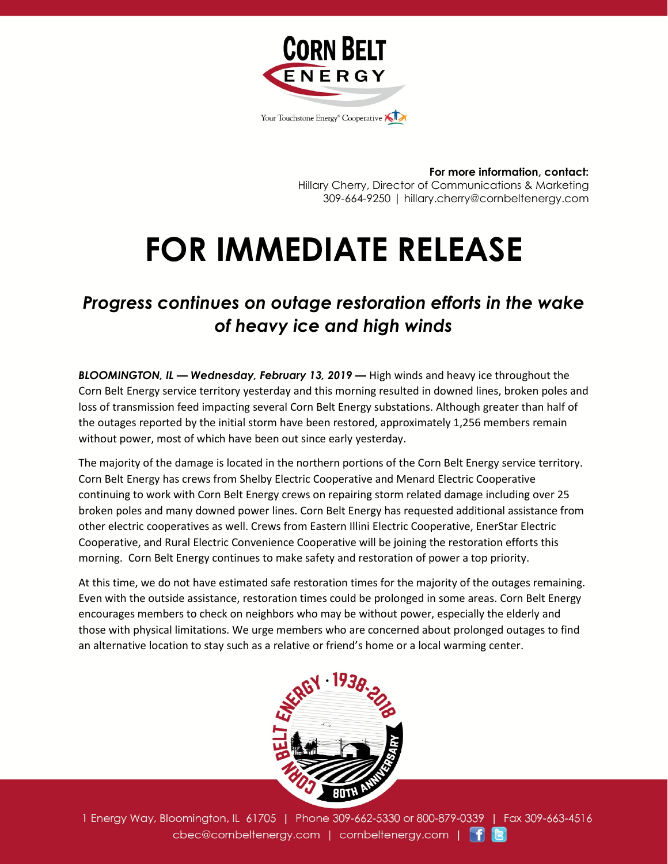

**For more information, contact:** Hillary Cherry, Director of Communications & Marketing 309-664-9250 | hillary.cherry@cornbeltenergy.com

## **FOR IMMEDIATE RELEASE**

## *Progress continues on outage restoration efforts in the wake of heavy ice and high winds*

*BLOOMINGTON, IL — Wednesday, February 13, 2019 —* High winds and heavy ice throughout the Corn Belt Energy service territory yesterday and this morning resulted in downed lines, broken poles and loss of transmission feed impacting several Corn Belt Energy substations. Although greater than half of the outages reported by the initial storm have been restored, approximately 1,256 members remain without power, most of which have been out since early yesterday.

The majority of the damage is located in the northern portions of the Corn Belt Energy service territory. Corn Belt Energy has crews from Shelby Electric Cooperative and Menard Electric Cooperative continuing to work with Corn Belt Energy crews on repairing storm related damage including over 25 broken poles and many downed power lines. Corn Belt Energy has requested additional assistance from other electric cooperatives as well. Crews from Eastern Illini Electric Cooperative, EnerStar Electric Cooperative, and Rural Electric Convenience Cooperative will be joining the restoration efforts this morning. Corn Belt Energy continues to make safety and restoration of power a top priority.

At this time, we do not have estimated safe restoration times for the majority of the outages remaining. Even with the outside assistance, restoration times could be prolonged in some areas. Corn Belt Energy encourages members to check on neighbors who may be without power, especially the elderly and those with physical limitations. We urge members who are concerned about prolonged outages to find an alternative location to stay such as a relative or friend's home or a local warming center.



1 Energy Way, Bloomington, IL 61705 | Phone 309-662-5330 or 800-879-0339 | Fax 309-663-4516 cbec@cornbeltenergy.com | cornbeltenergy.com | f